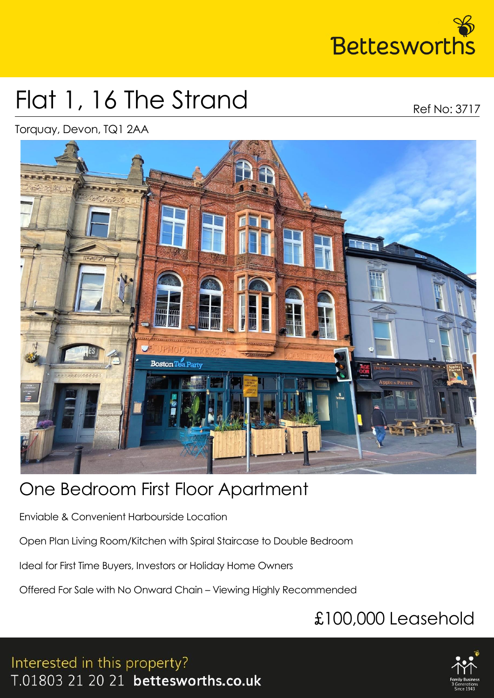

## Flat 1, 16 The Strand

Ref No: 3717

Torquay, Devon, TQ1 2AA



### One Bedroom First Floor Apartment

Enviable & Convenient Harbourside Location

Open Plan Living Room/Kitchen with Spiral Staircase to Double Bedroom

Ideal for First Time Buyers, Investors or Holiday Home Owners

Offered For Sale with No Onward Chain – Viewing Highly Recommended

### £100,000 Leasehold

Interested in this property? T.01803 21 20 21 bettesworths.co.uk

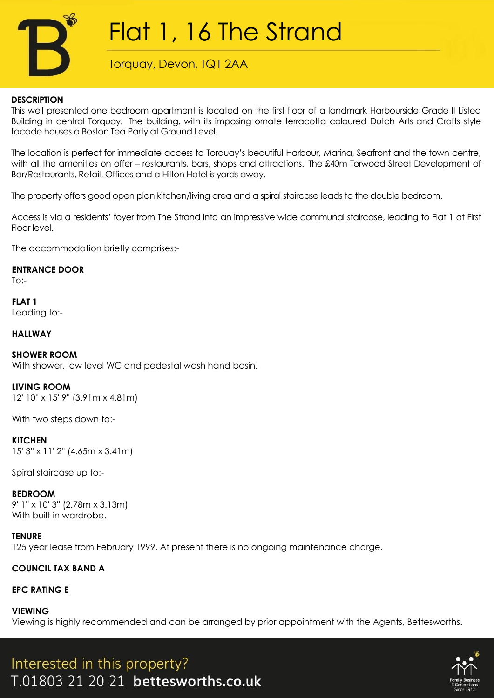

## Flat 1, 16 The Strand

Torquay, Devon, TQ1 2AA

#### **DESCRIPTION**

This well presented one bedroom apartment is located on the first floor of a landmark Harbourside Grade II Listed Building in central Torquay. The building, with its imposing ornate terracotta coloured Dutch Arts and Crafts style facade houses a Boston Tea Party at Ground Level.

The location is perfect for immediate access to Torquay's beautiful Harbour, Marina, Seafront and the town centre, with all the amenities on offer – restaurants, bars, shops and attractions. The £40m Torwood Street Development of Bar/Restaurants, Retail, Offices and a Hilton Hotel is yards away.

The property offers good open plan kitchen/living area and a spiral staircase leads to the double bedroom.

Access is via a residents' foyer from The Strand into an impressive wide communal staircase, leading to Flat 1 at First Floor level.

The accommodation briefly comprises:-

#### **ENTRANCE DOOR**

 $To$ :-

**FLAT 1** Leading to:-

#### **HALLWAY**

#### **SHOWER ROOM**

With shower, low level WC and pedestal wash hand basin.

#### **LIVING ROOM**

12' 10'' x 15' 9'' (3.91m x 4.81m)

With two steps down to:-

#### **KITCHEN**

15' 3'' x 11' 2'' (4.65m x 3.41m)

Spiral staircase up to:-

#### **BEDROOM**

9' 1'' x 10' 3'' (2.78m x 3.13m) With built in wardrobe.

**TENURE** 125 year lease from February 1999. At present there is no ongoing maintenance charge.

#### **COUNCIL TAX BAND A**

#### **EPC RATING E**

#### **VIEWING**

Viewing is highly recommended and can be arranged by prior appointment with the Agents, Bettesworths.

Interested in this property? T.01803 21 20 21 bettesworths.co.uk